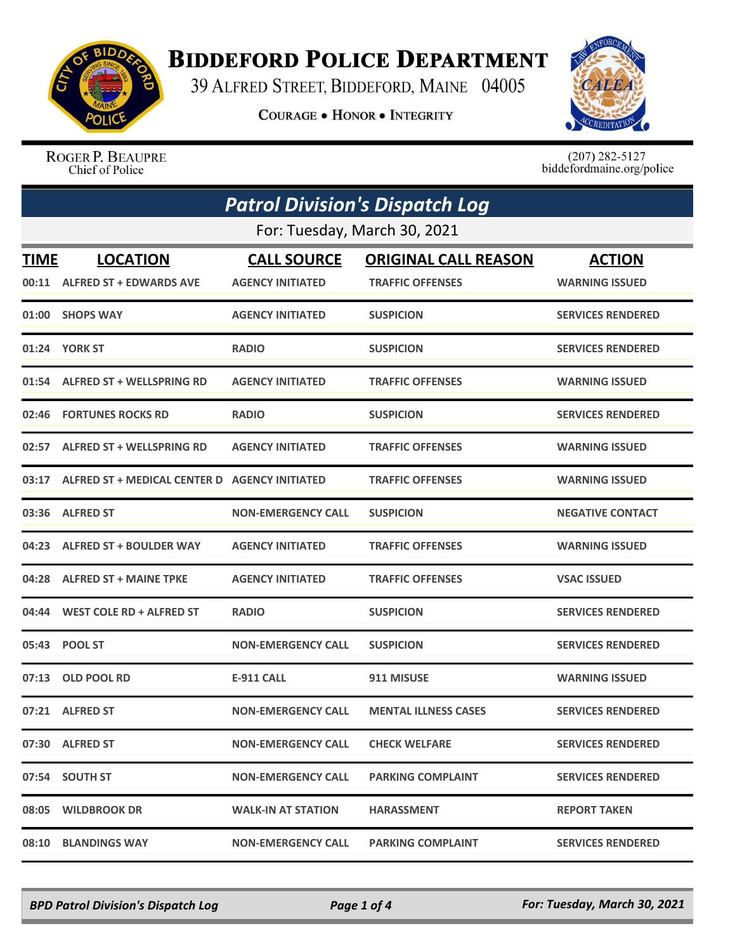

## **BIDDEFORD POLICE DEPARTMENT**

39 ALFRED STREET, BIDDEFORD, MAINE 04005

**COURAGE . HONOR . INTEGRITY** 



ROGER P. BEAUPRE Chief of Police

 $(207)$  282-5127<br>biddefordmaine.org/police

| <b>Patrol Division's Dispatch Log</b> |                                                     |                           |                             |                          |  |
|---------------------------------------|-----------------------------------------------------|---------------------------|-----------------------------|--------------------------|--|
| For: Tuesday, March 30, 2021          |                                                     |                           |                             |                          |  |
| <b>TIME</b>                           | <b>LOCATION</b>                                     | <b>CALL SOURCE</b>        | <b>ORIGINAL CALL REASON</b> | <b>ACTION</b>            |  |
|                                       | 00:11 ALFRED ST + EDWARDS AVE                       | <b>AGENCY INITIATED</b>   | <b>TRAFFIC OFFENSES</b>     | <b>WARNING ISSUED</b>    |  |
|                                       | 01:00 SHOPS WAY                                     | <b>AGENCY INITIATED</b>   | <b>SUSPICION</b>            | <b>SERVICES RENDERED</b> |  |
|                                       | 01:24 YORK ST                                       | <b>RADIO</b>              | <b>SUSPICION</b>            | <b>SERVICES RENDERED</b> |  |
|                                       | 01:54 ALFRED ST + WELLSPRING RD                     | <b>AGENCY INITIATED</b>   | <b>TRAFFIC OFFENSES</b>     | <b>WARNING ISSUED</b>    |  |
| 02:46                                 | <b>FORTUNES ROCKS RD</b>                            | <b>RADIO</b>              | <b>SUSPICION</b>            | <b>SERVICES RENDERED</b> |  |
|                                       | 02:57 ALFRED ST + WELLSPRING RD                     | <b>AGENCY INITIATED</b>   | <b>TRAFFIC OFFENSES</b>     | <b>WARNING ISSUED</b>    |  |
|                                       | 03:17 ALFRED ST + MEDICAL CENTER D AGENCY INITIATED |                           | <b>TRAFFIC OFFENSES</b>     | <b>WARNING ISSUED</b>    |  |
|                                       | 03:36 ALFRED ST                                     | <b>NON-EMERGENCY CALL</b> | <b>SUSPICION</b>            | <b>NEGATIVE CONTACT</b>  |  |
|                                       | 04:23 ALFRED ST + BOULDER WAY                       | <b>AGENCY INITIATED</b>   | <b>TRAFFIC OFFENSES</b>     | <b>WARNING ISSUED</b>    |  |
| 04:28                                 | <b>ALFRED ST + MAINE TPKE</b>                       | <b>AGENCY INITIATED</b>   | <b>TRAFFIC OFFENSES</b>     | <b>VSAC ISSUED</b>       |  |
|                                       | 04:44 WEST COLE RD + ALFRED ST                      | <b>RADIO</b>              | <b>SUSPICION</b>            | <b>SERVICES RENDERED</b> |  |
|                                       | 05:43 POOL ST                                       | <b>NON-EMERGENCY CALL</b> | <b>SUSPICION</b>            | <b>SERVICES RENDERED</b> |  |
| 07:13                                 | <b>OLD POOL RD</b>                                  | <b>E-911 CALL</b>         | 911 MISUSE                  | <b>WARNING ISSUED</b>    |  |
|                                       | 07:21 ALFRED ST                                     | <b>NON-EMERGENCY CALL</b> | <b>MENTAL ILLNESS CASES</b> | <b>SERVICES RENDERED</b> |  |
|                                       | 07:30 ALFRED ST                                     | <b>NON-EMERGENCY CALL</b> | <b>CHECK WELFARE</b>        | <b>SERVICES RENDERED</b> |  |
|                                       | 07:54 SOUTH ST                                      | <b>NON-EMERGENCY CALL</b> | <b>PARKING COMPLAINT</b>    | <b>SERVICES RENDERED</b> |  |
|                                       | 08:05 WILDBROOK DR                                  | <b>WALK-IN AT STATION</b> | <b>HARASSMENT</b>           | <b>REPORT TAKEN</b>      |  |
|                                       | 08:10 BLANDINGS WAY                                 | <b>NON-EMERGENCY CALL</b> | <b>PARKING COMPLAINT</b>    | <b>SERVICES RENDERED</b> |  |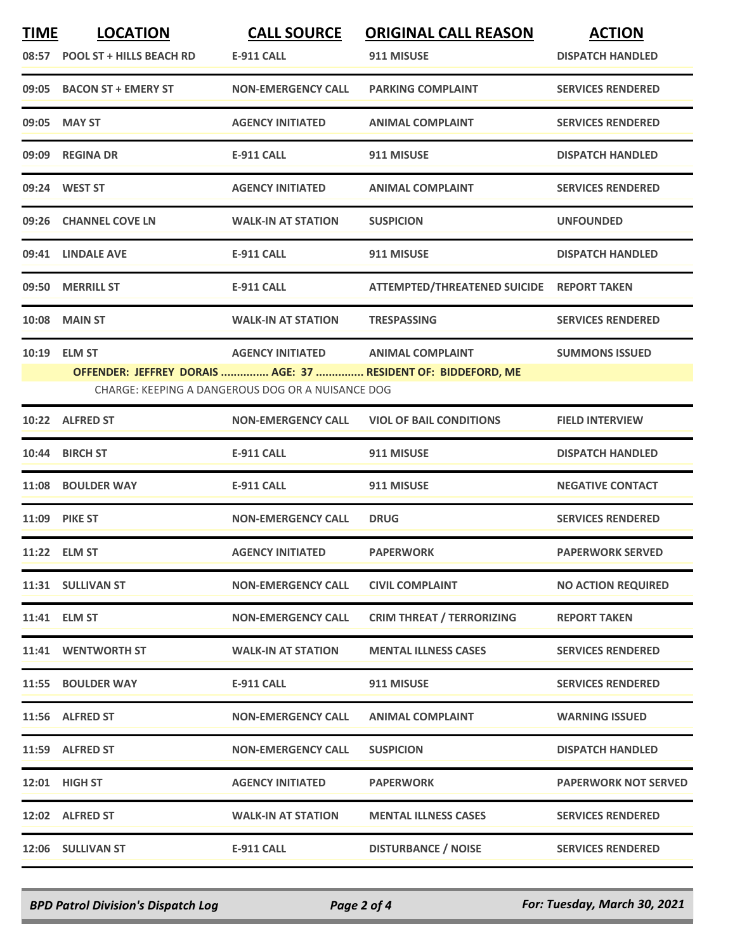| <b>TIME</b> | <b>LOCATION</b><br>08:57 POOL ST + HILLS BEACH RD | <b>CALL SOURCE</b><br><b>E-911 CALL</b>                                      | <b>ORIGINAL CALL REASON</b><br>911 MISUSE                                                | <b>ACTION</b><br><b>DISPATCH HANDLED</b> |
|-------------|---------------------------------------------------|------------------------------------------------------------------------------|------------------------------------------------------------------------------------------|------------------------------------------|
|             | 09:05 BACON ST + EMERY ST                         | <b>NON-EMERGENCY CALL</b>                                                    | <b>PARKING COMPLAINT</b>                                                                 | <b>SERVICES RENDERED</b>                 |
| 09:05       | <b>MAY ST</b>                                     | <b>AGENCY INITIATED</b>                                                      | <b>ANIMAL COMPLAINT</b>                                                                  | <b>SERVICES RENDERED</b>                 |
|             | 09:09 REGINA DR                                   | <b>E-911 CALL</b>                                                            | 911 MISUSE                                                                               | <b>DISPATCH HANDLED</b>                  |
|             | 09:24 WEST ST                                     | <b>AGENCY INITIATED</b>                                                      | <b>ANIMAL COMPLAINT</b>                                                                  | <b>SERVICES RENDERED</b>                 |
|             | 09:26 CHANNEL COVE LN                             | <b>WALK-IN AT STATION</b>                                                    | <b>SUSPICION</b>                                                                         | <b>UNFOUNDED</b>                         |
| 09:41       | <b>LINDALE AVE</b>                                | <b>E-911 CALL</b>                                                            | 911 MISUSE                                                                               | <b>DISPATCH HANDLED</b>                  |
|             | 09:50 MERRILL ST                                  | <b>E-911 CALL</b>                                                            | ATTEMPTED/THREATENED SUICIDE REPORT TAKEN                                                |                                          |
|             | <b>10:08 MAIN ST</b>                              | <b>WALK-IN AT STATION</b>                                                    | <b>TRESPASSING</b>                                                                       | <b>SERVICES RENDERED</b>                 |
|             | 10:19 ELM ST                                      | <b>AGENCY INITIATED</b><br>CHARGE: KEEPING A DANGEROUS DOG OR A NUISANCE DOG | <b>ANIMAL COMPLAINT</b><br>OFFENDER: JEFFREY DORAIS  AGE: 37  RESIDENT OF: BIDDEFORD, ME | <b>SUMMONS ISSUED</b>                    |
|             | 10:22 ALFRED ST                                   | <b>NON-EMERGENCY CALL</b>                                                    | <b>VIOL OF BAIL CONDITIONS</b>                                                           | <b>FIELD INTERVIEW</b>                   |
|             | 10:44 BIRCH ST                                    | <b>E-911 CALL</b>                                                            | 911 MISUSE                                                                               | <b>DISPATCH HANDLED</b>                  |
|             | 11:08 BOULDER WAY                                 | <b>E-911 CALL</b>                                                            | 911 MISUSE                                                                               | <b>NEGATIVE CONTACT</b>                  |
|             | <b>11:09 PIKE ST</b>                              | <b>NON-EMERGENCY CALL</b>                                                    | <b>DRUG</b>                                                                              | <b>SERVICES RENDERED</b>                 |
|             | 11:22 ELM ST                                      | <b>AGENCY INITIATED</b>                                                      | <b>PAPERWORK</b>                                                                         | <b>PAPERWORK SERVED</b>                  |
|             | 11:31 SULLIVAN ST                                 | <b>NON-EMERGENCY CALL</b>                                                    | <b>CIVIL COMPLAINT</b>                                                                   | <b>NO ACTION REQUIRED</b>                |
|             | 11:41 ELM ST                                      | <b>NON-EMERGENCY CALL</b>                                                    | <b>CRIM THREAT / TERRORIZING</b>                                                         | <b>REPORT TAKEN</b>                      |
|             | 11:41 WENTWORTH ST                                | <b>WALK-IN AT STATION</b>                                                    | <b>MENTAL ILLNESS CASES</b>                                                              | <b>SERVICES RENDERED</b>                 |
|             | 11:55 BOULDER WAY                                 | <b>E-911 CALL</b>                                                            | 911 MISUSE                                                                               | <b>SERVICES RENDERED</b>                 |
|             | 11:56 ALFRED ST                                   | <b>NON-EMERGENCY CALL</b>                                                    | <b>ANIMAL COMPLAINT</b>                                                                  | <b>WARNING ISSUED</b>                    |
|             | 11:59 ALFRED ST                                   | <b>NON-EMERGENCY CALL</b>                                                    | <b>SUSPICION</b>                                                                         | <b>DISPATCH HANDLED</b>                  |
|             | 12:01 HIGH ST                                     | <b>AGENCY INITIATED</b>                                                      | <b>PAPERWORK</b>                                                                         | <b>PAPERWORK NOT SERVED</b>              |
|             | 12:02 ALFRED ST                                   | <b>WALK-IN AT STATION</b>                                                    | <b>MENTAL ILLNESS CASES</b>                                                              | <b>SERVICES RENDERED</b>                 |
|             | 12:06 SULLIVAN ST                                 | <b>E-911 CALL</b>                                                            | <b>DISTURBANCE / NOISE</b>                                                               | <b>SERVICES RENDERED</b>                 |

*BPD Patrol Division's Dispatch Log Page 2 of 4 For: Tuesday, March 30, 2021*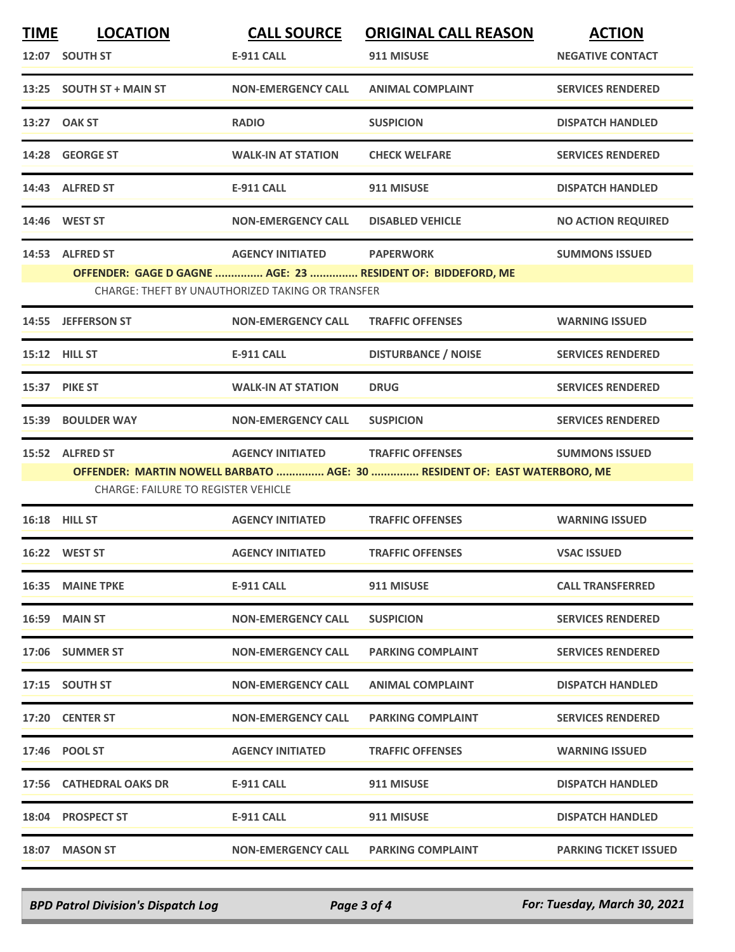| <u>TIME</u> | <b>LOCATION</b>                            | <b>CALL SOURCE</b>                               | <b>ORIGINAL CALL REASON</b>                                               | <b>ACTION</b>                |  |
|-------------|--------------------------------------------|--------------------------------------------------|---------------------------------------------------------------------------|------------------------------|--|
|             | 12:07 SOUTH ST                             | <b>E-911 CALL</b>                                | 911 MISUSE                                                                | <b>NEGATIVE CONTACT</b>      |  |
|             | 13:25 SOUTH ST + MAIN ST                   | <b>NON-EMERGENCY CALL</b>                        | <b>ANIMAL COMPLAINT</b>                                                   | <b>SERVICES RENDERED</b>     |  |
|             | 13:27 OAK ST                               | <b>RADIO</b>                                     | <b>SUSPICION</b>                                                          | <b>DISPATCH HANDLED</b>      |  |
|             | 14:28 GEORGE ST                            | <b>WALK-IN AT STATION</b>                        | <b>CHECK WELFARE</b>                                                      | <b>SERVICES RENDERED</b>     |  |
|             | 14:43 ALFRED ST                            | <b>E-911 CALL</b>                                | 911 MISUSE                                                                | <b>DISPATCH HANDLED</b>      |  |
|             | 14:46 WEST ST                              | <b>NON-EMERGENCY CALL</b>                        | <b>DISABLED VEHICLE</b>                                                   | <b>NO ACTION REQUIRED</b>    |  |
|             | 14:53 ALFRED ST                            | <b>AGENCY INITIATED</b>                          | <b>PAPERWORK</b>                                                          | <b>SUMMONS ISSUED</b>        |  |
|             |                                            |                                                  | OFFENDER: GAGE D GAGNE  AGE: 23  RESIDENT OF: BIDDEFORD, ME               |                              |  |
|             |                                            | CHARGE: THEFT BY UNAUTHORIZED TAKING OR TRANSFER |                                                                           |                              |  |
|             | 14:55 JEFFERSON ST                         | <b>NON-EMERGENCY CALL</b>                        | <b>TRAFFIC OFFENSES</b>                                                   | <b>WARNING ISSUED</b>        |  |
|             | 15:12 HILL ST                              | <b>E-911 CALL</b>                                | <b>DISTURBANCE / NOISE</b>                                                | <b>SERVICES RENDERED</b>     |  |
|             | <b>15:37 PIKE ST</b>                       | <b>WALK-IN AT STATION</b>                        | <b>DRUG</b>                                                               | <b>SERVICES RENDERED</b>     |  |
|             | 15:39 BOULDER WAY                          | <b>NON-EMERGENCY CALL</b>                        | <b>SUSPICION</b>                                                          | <b>SERVICES RENDERED</b>     |  |
|             | 15:52 ALFRED ST                            | <b>AGENCY INITIATED</b>                          | <b>TRAFFIC OFFENSES</b>                                                   | <b>SUMMONS ISSUED</b>        |  |
|             |                                            |                                                  | OFFENDER: MARTIN NOWELL BARBATO  AGE: 30  RESIDENT OF: EAST WATERBORO, ME |                              |  |
|             | <b>CHARGE: FAILURE TO REGISTER VEHICLE</b> |                                                  |                                                                           |                              |  |
|             | <b>16:18 HILL ST</b>                       | <b>AGENCY INITIATED</b>                          | <b>TRAFFIC OFFENSES</b>                                                   | <b>WARNING ISSUED</b>        |  |
|             | 16:22 WEST ST                              | <b>AGENCY INITIATED</b>                          | <b>TRAFFIC OFFENSES</b>                                                   | <b>VSAC ISSUED</b>           |  |
|             | <b>16:35 MAINE TPKE</b>                    | E-911 CALL                                       | 911 MISUSE                                                                | <b>CALL TRANSFERRED</b>      |  |
|             | <b>16:59 MAIN ST</b>                       | <b>NON-EMERGENCY CALL</b>                        | <b>SUSPICION</b>                                                          | <b>SERVICES RENDERED</b>     |  |
|             | 17:06 SUMMER ST                            | <b>NON-EMERGENCY CALL</b>                        | <b>PARKING COMPLAINT</b>                                                  | <b>SERVICES RENDERED</b>     |  |
|             | 17:15 SOUTH ST                             | <b>NON-EMERGENCY CALL</b>                        | <b>ANIMAL COMPLAINT</b>                                                   | <b>DISPATCH HANDLED</b>      |  |
|             | 17:20 CENTER ST                            | <b>NON-EMERGENCY CALL</b>                        | <b>PARKING COMPLAINT</b>                                                  | <b>SERVICES RENDERED</b>     |  |
|             | 17:46 POOL ST                              | <b>AGENCY INITIATED</b>                          | <b>TRAFFIC OFFENSES</b>                                                   | <b>WARNING ISSUED</b>        |  |
|             | 17:56 CATHEDRAL OAKS DR                    | <b>E-911 CALL</b>                                | 911 MISUSE                                                                | <b>DISPATCH HANDLED</b>      |  |
|             | 18:04 PROSPECT ST                          | E-911 CALL                                       | 911 MISUSE                                                                | <b>DISPATCH HANDLED</b>      |  |
|             | 18:07 MASON ST                             | <b>NON-EMERGENCY CALL</b>                        | <b>PARKING COMPLAINT</b>                                                  | <b>PARKING TICKET ISSUED</b> |  |
|             |                                            |                                                  |                                                                           |                              |  |

*BPD Patrol Division's Dispatch Log Page 3 of 4 For: Tuesday, March 30, 2021*